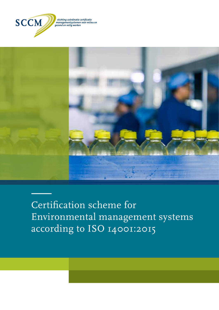

stichting coördinatie certificatie managementsystemen voor milieu en<br>managementsystemen voor milieu en<br>gezond en veilig werken



Certification scheme for Environmental management systems according to ISO 14001:2015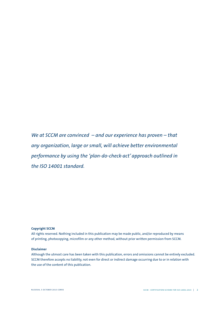*We at SCCM are convinced – and our experience has proven – that any organization, large or small, will achieve better environmental performance by using the 'plan-do-check-act' approach outlined in the ISO 14001 standard.*

### **Copyright SCCM**

All rights reserved. Nothing included in this publication may be made public, and/or reproduced by means of printing, photocopying, microfilm or any other method, without prior written permission from SCCM.

### **Disclaimer**

Although the utmost care has been taken with this publication, errors and omissions cannot be entirely excluded. SCCM therefore accepts no liability, not even for direct or indirect damage occurring due to or in relation with the use of the content of this publication.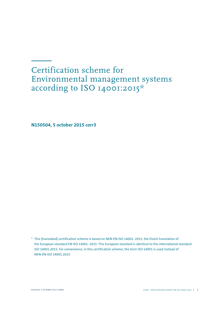## Certification scheme for Environmental management systems according to ISO 14001:2015\*

**N150504, 5 october 2015 corr3**

\* This (translated) certification scheme is based on NEN-EN-ISO 14001: 2015, the Dutch translation of the European standard EN ISO 14001: 2015. This European standard is identical to the international standard ISO 14001:2015. For convenience, in this certification scheme, the term ISO 14001 is used instead of NEN-EN-ISO 14001:2015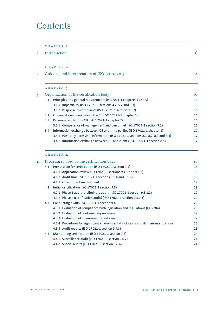## **Contents**

|               | <b>CHAPTER I</b>                                                                     |               |
|---------------|--------------------------------------------------------------------------------------|---------------|
|               | Introduction                                                                         | 6             |
|               | <b>CHAPTER 2</b>                                                                     |               |
|               | Guide to and interpretation of ISO 14001:2015                                        | 8             |
|               | CHAPTER 3                                                                            |               |
|               | Organization of the certification body                                               | <sup>16</sup> |
| 3.1           | Principles and general requirements (IS 17021-1 chapters 4 and 5)                    | 16            |
|               | 3.1.1 Impartiality (ISO 17021-1 sections 4.2, 5.2 and 5.3)                           | 16            |
|               | 3.1.2 Response to complaints (ISO 17021-1 section 9.6.7)                             | 16            |
| 3.2           | Organizational structure of the CB (ISO 17021-1 chapter 6)                           | 16            |
| 3.3           | Personnel within the CB (ISO 17021-1 chapter 7)                                      | 16            |
|               | 3.3.1 Competence of management and personnel (ISO 17021-1 section 7.1)               | 16            |
| $3.4^{\circ}$ | Information exchange between CB and third parties (ISO 17021-1 chapter 8)            | 17            |
|               | 3.4.1 Publically accessible information (ISO 17021-1 sections 8.1, 8.2, 8.3 and 8.4) | 17            |
|               | 3.4.2 Information exchange between CB and clients (ISO 17021-1 section 8.5)          | 17            |

## chapter 4

| 4 |     | Procedures used by the certification body                                          |    |  |
|---|-----|------------------------------------------------------------------------------------|----|--|
|   | 4.1 | Preparation for certification (ISO 17021-1 section 9.1)                            | 18 |  |
|   |     | 4.1.1 Application review ISO 17021-1 sections 9.1.1 and 9.1.2)                     | 18 |  |
|   |     | 4.1.2 Audit time (ISO 17021-1 sections 9.1.4 and 9.1.5)                            | 19 |  |
|   |     | 4.1.3 Government involvement                                                       | 19 |  |
|   | 4.2 | Initial certification (ISO 17021-1 section 9.3)                                    | 19 |  |
|   |     | 4.2.1 Phase 1 audit (preliminary audit) (ISO 17021-1 section 9.3.1.2)              | 19 |  |
|   |     | 4.2.2 Phase 2 (certification audit) (ISO 17021-1 section 9.3.1.3)                  | 20 |  |
|   | 4.3 | Conducting audits (ISO 17021-1 section 9.4)                                        | 20 |  |
|   |     | 4.3.1 Evaluation of compliance with legislation and regulations (EA-7/04)          | 20 |  |
|   |     | 4.3.2 Evaluation of continual improvement                                          | 22 |  |
|   |     | 4.3.3 Evaluation of environmental information                                      | 22 |  |
|   |     | 4.3.4 Procedures for significant environmental violations and dangerous situations | 23 |  |
|   |     | 4.3.5 Audit reports (ISO 17021-1 section 9.4.8)                                    | 23 |  |
|   | 4.4 | Maintaining certification (ISO 17021-1 section 9.6)                                | 24 |  |
|   |     | 4.4.1 Surveillance audit (ISO 17021-1 section 9.6.2)                               | 24 |  |
|   |     | 4.4.2 Special audits (ISO 17021-1 section 9.6.4)                                   | 24 |  |
|   |     |                                                                                    |    |  |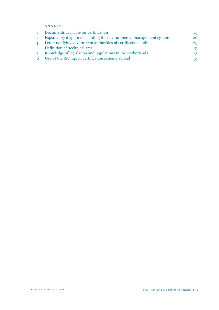### annexes

| T.             | Documents available for certification                              | 25 |
|----------------|--------------------------------------------------------------------|----|
| $\overline{2}$ | Explanatory diagrams regarding the environmental management system | 26 |
| $\mathbf{3}$   | Letter notifying government authorities of certification audit     | 29 |
|                | 4 Definition of 'technical area'                                   | 3I |
| 5 <sup>1</sup> | Knowledge of legislation and regulations in the Netherlands        | 33 |
|                | 6 Use of the ISO 14001 certification scheme abroad                 | 35 |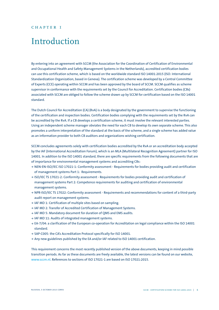### <span id="page-5-0"></span>CHAPTER I

## Introduction

By entering into an agreement with SCCM (the Association for the Coordination of Certification of Environmental and Occupational Health and Safety Management Systems in the Netherlands), accredited certification bodies can use this certification scheme, which is based on the worldwide standard ISO 14001:2015 (ISO: International Standardization Organization, based in Geneva). The certification scheme was developed by a Central Committee of Experts (CCE) operating within SCCM and has been approved by the board of SCCM. SCCM qualifies as scheme supervisor in conformance with the requirements set by the Council for Accreditation. Certification bodies (CBs) associated with SCCM are obliged to follow the scheme drawn up by SCCM for certification based on the ISO 14001 standard.

The Dutch Council for Accreditation (CA) (RvA) is a body designated by the government to supervise the functioning of the certification and inspection bodies. Certification bodies complying with the requirements set by the RvA can be accredited by the RvA. If a CB develops a certification scheme, it must involve the relevant interested parties. Using an independent scheme manager obviates the need for each CB to develop its own separate scheme. This also promotes a uniform interpretation of the standard at the basis of the scheme, and a single scheme has added value as an information provider to both CB auditors and organizations wishing certification.

SCCM concludes agreements solely with certification bodies accredited by the RvA or an accreditation body accepted by the IAF (International Accreditation Forum), which is an MLA (Multilateral Recognition Agreement) partner for ISO 14001. In addition to the ISO 14001 standard, there are specific requirements from the following documents that are of importance for environmental management systems and accrediting CBs:

- **<sup>&</sup>gt;** NEN-EN-ISO/IEC ISO 17021-1: Conformity assessment Requirements for bodies providing audit and certification of management systems Part 1: Requirements.
- **<sup>&</sup>gt;** ISO/IEC TS 17021-2: Conformity assessment Requirements for bodies providing audit and certification of management systems Part 2: Competence requirements for auditing and certification of environmental management systems.
- **<sup>&</sup>gt;** NPR-ISO/IEC TS 17022: Conformity assessment Requirements and recommendations for content of a third-party audit report on management systems.
- **<sup>&</sup>gt;** IAF MD 1: Certification of multiple sites based on sampling.
- **<sup>&</sup>gt;** IAF MD 2: Transfer of Accredited Certification of Management Systems.
- **<sup>&</sup>gt;** IAF MD 5: Mandatory document for duration of QMS and EMS audits.
- **<sup>&</sup>gt;** IAF MD 11: Audits of integrated management systems.
- **<sup>&</sup>gt;** EA-7/04: a clarification of the European co-operation for Accreditation on legal compliance within the ISO 14001 standard.
- **<sup>&</sup>gt;** SAP-C005: the CA's Accreditation Protocol specifically for ISO 14001.
- **<sup>&</sup>gt;** Any new guidelines published by the EA and/or IAF related to ISO 14001 certification.

This requirement concerns the most recently published version of the above documents, keeping in mind possible transition periods. As far as these documents are freely available, the latest versions can be found on our website, [www.sccm.nl](https://www.sccm.nl/). References to sections of ISO 17021-1 are based on ISO 17021:2015.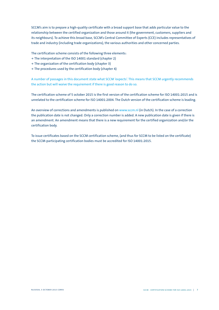SCCM's aim is to prepare a high-quality certificate with a broad support base that adds particular value to the relationship between the certified organization and those around it (the government, customers, suppliers and its neighbours). To achieve this broad base, SCCM's Central Committee of Experts (CCE) includes representatives of trade and industry (including trade organizations), the various authorities and other concerned parties.

The certification scheme consists of the following three elements:

- **<sup>&</sup>gt;** The interpretation of the ISO 14001 standard (chapter 2)
- **<sup>&</sup>gt;** The organization of the certification body (chapter 3)
- **<sup>&</sup>gt;** The procedures used by the certification body (chapter 4)

A number of passages in this document state what SCCM 'expects'. This means that SCCM urgently recommends the action but will waive the requirement if there is good reason to do so.

The certification scheme of 5 october 2015 is the first version of the certification scheme for ISO 14001:2015 and is unrelated to the certification scheme for ISO 14001:2004. The Dutch version of the certification scheme is leading.

An overview of corrections and amendments is published on [www.sccm.nl](https://www.sccm.nl/) (in Dutch). In the case of a correction the publication date is not changed. Only a correction number is added. A new publication date is given if there is an amendment. An amendment means that there is a new requirement for the certified organization and/or the certification body.

To issue certificates based on the SCCM certification scheme, (and thus for SCCM to be listed on the certificate) the SCCM-participating certification bodies must be accredited for ISO 14001:2015.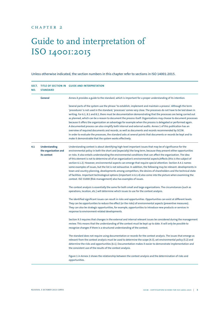## <span id="page-7-0"></span>chapter 2

# Guide to and interpretation of ISO 14001:2015

## Unless otherwise indicated, the section numbers in this chapter refer to sections in ISO 14001:2015.

| <b>SECT.</b><br>NO. | <b>STANDARD</b>                                      | TITLE OF SECTION IN GUIDE AND INTERPRETATION                                                                                                                                                                                                                                                                                                                                                                                                                                                                                                                                                                                                                                                                                                                                                                                                                                                                                                                                                                                 |  |
|---------------------|------------------------------------------------------|------------------------------------------------------------------------------------------------------------------------------------------------------------------------------------------------------------------------------------------------------------------------------------------------------------------------------------------------------------------------------------------------------------------------------------------------------------------------------------------------------------------------------------------------------------------------------------------------------------------------------------------------------------------------------------------------------------------------------------------------------------------------------------------------------------------------------------------------------------------------------------------------------------------------------------------------------------------------------------------------------------------------------|--|
|                     | <b>General</b>                                       | Annex A provides a guide to the standard, which is important for a proper understanding of its intention.                                                                                                                                                                                                                                                                                                                                                                                                                                                                                                                                                                                                                                                                                                                                                                                                                                                                                                                    |  |
|                     |                                                      | Several parts of the system use the phrase 'to establish, implement and maintain a process'. Although the term<br>'procedures' is not used in the standard, 'processes' comes very close. The processes do not have to be laid down in<br>writing. For 6.1, 8.1 and 8.2, there must be documentation demonstrating that the processes are being carried out<br>as planned, which can be a reason to document the process itself. Organizations may choose to document processes<br>because it offers the organization an advantage for example when the process is delegated or performed again.<br>A documented process can also simplify both internal and external audits. Annex 1 of this publication has an<br>overview of required documents and records, as well as documents and records recommended by SCCM.<br>In order to evaluate the processes, the standard asks at several points that documents or records be kept and to<br>make it demonstrable that the system works effectively.                         |  |
| 4.1                 | Understanding<br>the organization and<br>its context | Understanding context is about identifying high-level important issues that may be of significance for the<br>environmental policy in both the short and (especially) the long term, because they present either opportunities<br>or risks. It also entails understanding the environmental conditions that can affect the organization. The idea<br>of this element is not to determine all of an organization's environmental aspects/effects (this is the subject of<br>section 6.1.2). However, environmental aspects can emerge that require special attention. Section A.4.1 names<br>some examples of issues, but the list is not exhaustive. In addition, the following may be relevant: developments in<br>town and country planning, developments among competitors, the desires of shareholders and the technical state<br>of facilities. Important technological options (important in 6.1.4) also come into the picture when examining the<br>context. ISO 31000 (Risk management) also has examples of issues. |  |
|                     |                                                      | The context analysis is essentially the same for both small and large organizations. The circumstances (such as<br>operations, location, etc.) will determine which issues to use for the context analysis.                                                                                                                                                                                                                                                                                                                                                                                                                                                                                                                                                                                                                                                                                                                                                                                                                  |  |
|                     |                                                      | The identified significant issues can result in risks and opportunities. Opportunities can exist at different levels.<br>They can be opportunities to reduce the effect (or the risks) of environmental aspects (preventive measures).<br>They can also be strategic opportunities, for example, opportunities to introduce new products or services in<br>response to environment-related developments.                                                                                                                                                                                                                                                                                                                                                                                                                                                                                                                                                                                                                     |  |
|                     |                                                      | Section 9.3 requires that changes in the external and internal relevant issues be considered during the management<br>review. This means that the understanding of the context must be kept up to date. It will only be possible to<br>recognize changes if there is a structured understanding of the context.                                                                                                                                                                                                                                                                                                                                                                                                                                                                                                                                                                                                                                                                                                              |  |
|                     |                                                      | The standard does not require using documentation or records for the context analysis. The issues that emerge as<br>relevant from the context analysis must be used to determine the scope (4.3), set environmental policy (5.2) and<br>determine the risks and opportunities (6.1). Documentation makes it easier to demonstrate implementation and<br>the consistent use of the results of the context analysis.                                                                                                                                                                                                                                                                                                                                                                                                                                                                                                                                                                                                           |  |
|                     |                                                      | Figure 1 in Annex 2 shows the relationship between the context analysis and the determination of risks and<br>opportunities.                                                                                                                                                                                                                                                                                                                                                                                                                                                                                                                                                                                                                                                                                                                                                                                                                                                                                                 |  |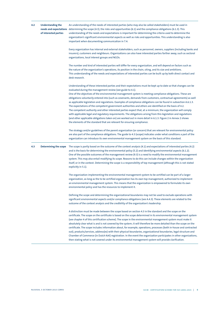| 4.2 | <b>Understanding the</b><br>of interested parties | An understanding of the needs of interested parties (who may also be called stakeholders) must be used in<br>needs and expectations determining the scope (4.3), the risks and opportunities (6.1) and the compliance obligations (6.1.3). This<br>understanding of the needs and expectations is important for determining the criteria used to determine the<br>organization's significant environmental aspects as well as risks and opportunities. This understanding is also<br>important when documenting communication in 7.4.                                                                                                                                                                                                                                                                                                                                                                                                                                                                                                                                                                                                                                                                                                                                                                                                                                                                                                                                                                                                                  |  |  |
|-----|---------------------------------------------------|--------------------------------------------------------------------------------------------------------------------------------------------------------------------------------------------------------------------------------------------------------------------------------------------------------------------------------------------------------------------------------------------------------------------------------------------------------------------------------------------------------------------------------------------------------------------------------------------------------------------------------------------------------------------------------------------------------------------------------------------------------------------------------------------------------------------------------------------------------------------------------------------------------------------------------------------------------------------------------------------------------------------------------------------------------------------------------------------------------------------------------------------------------------------------------------------------------------------------------------------------------------------------------------------------------------------------------------------------------------------------------------------------------------------------------------------------------------------------------------------------------------------------------------------------------|--|--|
|     |                                                   | Every organization has internal and external stakeholders, such as personnel, owners, suppliers (including banks and<br>insurers), customers and neighbours. Organizations can also have interested parties farther away, such as sectoral<br>organizations, local interest groups and NGOs.                                                                                                                                                                                                                                                                                                                                                                                                                                                                                                                                                                                                                                                                                                                                                                                                                                                                                                                                                                                                                                                                                                                                                                                                                                                           |  |  |
|     |                                                   | The number and kind of interested parties will differ for every organization, and will depend on factors such as<br>the nature of the organization's operations, its position in the chain, siting, and its size and ambitions.<br>This understanding of the needs and expectations of interested parties can be built up by both direct contact and<br>desk research.                                                                                                                                                                                                                                                                                                                                                                                                                                                                                                                                                                                                                                                                                                                                                                                                                                                                                                                                                                                                                                                                                                                                                                                 |  |  |
| 4.3 | <b>Determining the scope</b>                      | Understanding of these interested parties and their expectations must be kept up to date so that changes can be<br>evaluated during the management review (see guide to 4.1).<br>One of the objectives of the environmental management system is meeting compliance obligations. These are<br>obligations voluntarily entered into (such as covenants, demands from customers, contractual agreements) as well<br>as applicable legislation and regulations. Examples of compliance obligations can be found in subsection A.6.1.3.<br>The expectations of the competent government authorities and others are identified on the basis of 4.2.<br>The competent authority and other interested parties expect that, at a minimum, the organization will comply<br>with applicable legal and regulatory requirements. The obligations arising from this legislation and regulations<br>(and other applicable obligations taken on) are worked out in more detail in 6.1.3. Figure 2 in Annex 2 shows<br>the elements of the standard that are relevant for ensuring compliance.<br>The strategy and/or guidelines of the parent organization (or concern) that are relevant for environmental policy<br>are also part of the compliance obligations. The guide to 4.3 (scope) indicates under what conditions a part of the<br>organization can introduce its own environmental management system on the basis of this standard.<br>The scope is partly based on the outcome of the context analysis (4.1) and expectations of interested parties (4.2) |  |  |
|     |                                                   | and is the basis for determining the environmental policy (5.2) and identifying environmental aspects (6.1.2).<br>One of the possible outcomes of the management review (9.3) is a need to modify the environmental management<br>system. This may also entail modifying its scope. Reasons to do this can include changes within the organization<br>itself, or in the context. Determining the scope is a responsibility of top management (although this is not stated<br>explicitly in 5.1).                                                                                                                                                                                                                                                                                                                                                                                                                                                                                                                                                                                                                                                                                                                                                                                                                                                                                                                                                                                                                                                       |  |  |
|     |                                                   | The organization implementing the environmental management system to be certified can be part of a larger<br>organization, as long as the to be certified organization has its own top management, authorized to implement<br>an environmental management system. This means that the organization is empowered to formulate its own<br>environmental policy and has the resources to implement it.                                                                                                                                                                                                                                                                                                                                                                                                                                                                                                                                                                                                                                                                                                                                                                                                                                                                                                                                                                                                                                                                                                                                                    |  |  |
|     |                                                   | Defining the scope and determining the organizational boundaries may not be used to exclude operations with<br>significant environmental aspects and/or compliance obligations (see A.4.3). These elements are related to the<br>outcome of the context analysis and the credibility of the organization's leadership.                                                                                                                                                                                                                                                                                                                                                                                                                                                                                                                                                                                                                                                                                                                                                                                                                                                                                                                                                                                                                                                                                                                                                                                                                                 |  |  |
|     |                                                   | A distinction must be made between the scope based on section 4.3 in the standard and the scope on the<br>certificate. The scope on the certificate is based on the scope determined in its environmental management system<br>(see chapter 4 of this certification scheme). The scope in the environmental management system must make it<br>absolutely clear what is and is not covered by the system; it will therefore be more detailed than the scope on the<br>certificate. The scope includes information about, for example, operations, processes (both in-house and contracted<br>out), products/services, address(es) with their physical boundaries, organizational boundaries, legal structure and<br>Chamber of Commerce (in Dutch KvK) registration. In the event the organization participates in other organizations,<br>then stating what is not covered under its environmental management system will provide clarification.                                                                                                                                                                                                                                                                                                                                                                                                                                                                                                                                                                                                       |  |  |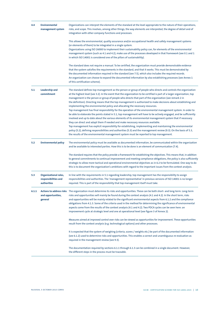| 4.4                                                                                                                                                                                                                                                                                                | <b>Environmental</b><br>management system | Organizations can interpret the elements of the standard at the level appropriate to the nature of their operations,<br>risks, and scope. This involves, among other things, the way elements are interpreted, the degree of detail and of<br>integration with other company functions and processes.                                                                                                                                                                                                                                                                                                                                                                                                                                                                                                                                                                                                                                                                                                                                                                |  |  |
|----------------------------------------------------------------------------------------------------------------------------------------------------------------------------------------------------------------------------------------------------------------------------------------------------|-------------------------------------------|----------------------------------------------------------------------------------------------------------------------------------------------------------------------------------------------------------------------------------------------------------------------------------------------------------------------------------------------------------------------------------------------------------------------------------------------------------------------------------------------------------------------------------------------------------------------------------------------------------------------------------------------------------------------------------------------------------------------------------------------------------------------------------------------------------------------------------------------------------------------------------------------------------------------------------------------------------------------------------------------------------------------------------------------------------------------|--|--|
|                                                                                                                                                                                                                                                                                                    |                                           | This allows the environmental, quality assurance and/or occupational health and safety management systems<br>(or elements of them) to be integrated in a single system.<br>Organizations using ISO 26000 to implement their sustainability policy can, for elements of the environmental<br>management system (such as 4.1 and 4.2), make use of the processes developed in that framework (see 0.1 and 1<br>in which ISO 14001 is considered one of the pillars of sustainability).                                                                                                                                                                                                                                                                                                                                                                                                                                                                                                                                                                                 |  |  |
|                                                                                                                                                                                                                                                                                                    |                                           | The standard does not require a manual. To be certified, the organization must provide demonstrable evidence<br>that the system satisfies the requirements in the standard, and that it works. This must be demonstrated by<br>the documented information required in the standard (see 7.5), which also includes the required records.<br>An organization can choose to expand the documented information by also establishing processes (see Annex 1<br>of this certification scheme).                                                                                                                                                                                                                                                                                                                                                                                                                                                                                                                                                                             |  |  |
| Leadership and<br>5.1<br>commitment<br>implementing the environmental policy and allocating the necessary resources.<br>they can direct and adapt them if needed and make necessary resources available.<br>the results of the environmental management system must be reported to top management. |                                           | The standard defines top management as the person or group of people who directs and controls the organization<br>at the highest level (see 3.2). In the event that the organization to be certified is part of a larger organization, top<br>management is the person or group of people who directs that part of the organization (see remark 2 in<br>the definition). Directing means that the top management is authorized to make decisions about establishing and<br>Top management has final responsibility for the operation of the environmental management system. In order to<br>be able to elaborate the points stated in 5.1, top management will have to be actively engaged, and be sufficiently<br>involved and up to date about the various elements of its environmental management system that if necessary<br>Top management has explicit responsibility for establishing, implementing and maintaining the environmental<br>policy (5.2), defining responsibilities and authorities (5.3) and the management review (9.3). On the basis of 5.3, |  |  |
| 5.2                                                                                                                                                                                                                                                                                                | <b>Environmental policy</b>               | The environmental policy must be available as documented information, be communicated within the organization<br>and be available to interested parties. How this is to be done is an element of communication (7.4).<br>The standard requires that the policy provide a framework for establishing the objectives. This means that, in addition<br>to general commitments to continual improvement and meeting compliance obligations, the policy is also sufficiently<br>strategic to allow more tactical and operational environmental objectives as in 6.2 to be formulated. One way to do<br>this is to document the organization's ambitions with regard to the important issues from the context analysis.                                                                                                                                                                                                                                                                                                                                                    |  |  |
| 5.3<br>Organizational roles,<br>responsibilities and<br>authorities<br>required. This is part of the responsibility that top management itself must take.                                                                                                                                          |                                           | In line with the requirements in 5.1 regarding leadership, top management has the responsibility to assign<br>responsibilities and authorities. The 'management representative' in previous versions of ISO 14001 is no longer                                                                                                                                                                                                                                                                                                                                                                                                                                                                                                                                                                                                                                                                                                                                                                                                                                       |  |  |
| 6.1.1                                                                                                                                                                                                                                                                                              | and opportunities,<br>general             | Actions to address risks The organization must determine its risks and opportunities. These can be both short- and long-term. Long-term<br>risks and opportunities will mainly be found during the context analysis (4.1 and 4.2). In the short term, risks<br>and opportunities will be mainly related to the significant environmental aspects from 6.1.2 and the compliance<br>obligations from 4.1.3. Some of the criteria used in the method for determining the significance of environmental<br>aspects come from the results of the context analysis (4.1 and 4.2). Two PDCA cycles can be seen here: an<br>improvement cycle at strategic level and one at operational level (see figure 3 of Annex 2).                                                                                                                                                                                                                                                                                                                                                     |  |  |
|                                                                                                                                                                                                                                                                                                    |                                           | Measures aimed at improved control over risks can be viewed as opportunities for improvement. These opportunities<br>result from the context analysis (e.g. technological options) and other processes.                                                                                                                                                                                                                                                                                                                                                                                                                                                                                                                                                                                                                                                                                                                                                                                                                                                              |  |  |
|                                                                                                                                                                                                                                                                                                    |                                           | It is expected that the system of weighing (criteria, scores / weights etc.) be part of the documented information<br>(see 6.1.2) used to determine risks and opportunities. This enables a correct and unambiguous re-evaluation as<br>required in the management review (see 9.3).                                                                                                                                                                                                                                                                                                                                                                                                                                                                                                                                                                                                                                                                                                                                                                                 |  |  |
|                                                                                                                                                                                                                                                                                                    |                                           | The documentation required by sections 6.1.1 through 6.1.3 can be combined in a single document. However,<br>the different steps in the process must be traceable.                                                                                                                                                                                                                                                                                                                                                                                                                                                                                                                                                                                                                                                                                                                                                                                                                                                                                                   |  |  |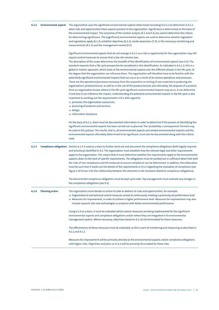| 6.1.2 | <b>Environmental aspects</b> | The organization uses the significant environmental aspects determined according to 6.1.2 to determine in 6.1.1<br>what risks and opportunities these aspects present to the organization. Significance is determined on the basis of<br>the environmental impact. The outcomes of the context analysis (4.1 and 4.2) are used to determine the criteria<br>for determining significance. The (significant) environmental aspects are used to determine whether legislation<br>and regulations apply (6.1.3), establish objectives (6.2.1), create awareness (7.3), in the necessary monitoring and<br>measurements (9.1.1) and the management review (9.3).                                                                                                                                                                                                                                                                                                                                                                                                                                                                                                                                                                                                                                                                                                                                                                                                                                                                                          |  |  |
|-------|------------------------------|-------------------------------------------------------------------------------------------------------------------------------------------------------------------------------------------------------------------------------------------------------------------------------------------------------------------------------------------------------------------------------------------------------------------------------------------------------------------------------------------------------------------------------------------------------------------------------------------------------------------------------------------------------------------------------------------------------------------------------------------------------------------------------------------------------------------------------------------------------------------------------------------------------------------------------------------------------------------------------------------------------------------------------------------------------------------------------------------------------------------------------------------------------------------------------------------------------------------------------------------------------------------------------------------------------------------------------------------------------------------------------------------------------------------------------------------------------------------------------------------------------------------------------------------------------|--|--|
|       |                              | Significant environmental aspects that do not emerge in 6.1.1 as a risk or opportunity for the organization may still<br>require control measures to ensure that a low risk remains low.<br>The description of the scope determines the breadth of the identification of environmental aspects (see 4.3). The<br>standard requests that a life-cycle perspective be considered in this identification. As indicated in A.6.1.2, this is a<br>global or holistic approach, which looks at the environmental aspects over the different phases in the life cycle, to<br>the degree that the organization can influence them. The organization will therefore have to be familiar with the<br>potentially significant environmental impacts that can occur as a result of its various operations and processes.<br>These are the operations/processes necessary from the acquisition or mining of raw materials to producing the<br>organization's product/service, as well as in the use of the product/service and ultimately, the disposal of a product.<br>Once an organization knows where in the life cycle significant environmental impacts may occur, it can determine<br>if and how it can influence the impact. Understanding the potential environmental impacts in the life cycle is also<br>important to working out the requirements in 8.1 with regard to<br>$\rightarrow$ processes the organization outsources;<br>$\rightarrow$ procuring of products and services;<br>$\rightarrow$ design;<br>$\rightarrow$ information disclosure. |  |  |
|       |                              | On the basis of 6.1.1, there must be documented information in order to determine if the process of identifying the<br>significant environmental aspects has been carried out as planned. The 'probability x consequences' formula may<br>be used in this process. The results, that is, all environmental aspects and related environmental impacts and the<br>environmental aspects ultimately determined to be significant, must also be documented along with the criteria<br>used.                                                                                                                                                                                                                                                                                                                                                                                                                                                                                                                                                                                                                                                                                                                                                                                                                                                                                                                                                                                                                                                               |  |  |
| 6.1.3 |                              | <b>Compliance obligations</b> Section 6.1.3 is used as a basis to further work out and document the compliance obligations (both legally required<br>and voluntary) identified in 4.2. The organization must establish how the relevant legal and other requirements<br>apply to the organization. This means that it must determine whether the requirements apply to the environmental<br>aspects, down to the level of specific requirements. The obligations must be worked out in sufficient detail that both<br>the risks of non-compliance and the measures to ensure compliance can be determined. In addition, the elaboration<br>must be such that it works out the details of the requirements in 9.1.2 regarding the evaluation of compliance (see<br>figure 2 of Annex 2 for the relationship between the elements in the standard related to compliance obligations).                                                                                                                                                                                                                                                                                                                                                                                                                                                                                                                                                                                                                                                                   |  |  |
|       |                              | The documented compliance obligations must be kept up to date. Top management must evaluate any changes in<br>the compliance obligations (see 9.3).                                                                                                                                                                                                                                                                                                                                                                                                                                                                                                                                                                                                                                                                                                                                                                                                                                                                                                                                                                                                                                                                                                                                                                                                                                                                                                                                                                                                   |  |  |
| 6.1.4 | <b>Planning action</b>       | The organization must decide on action to take to address its risks and opportunities, for example:<br>$\rightarrow$ Organizational and technical control measures aimed at continuously meeting a previously set performance level.<br>$\rightarrow$ Measures for improvement, in order to achieve a higher performance level. Measures for improvement may also<br>include research into new technologies or products with better environmental performance.                                                                                                                                                                                                                                                                                                                                                                                                                                                                                                                                                                                                                                                                                                                                                                                                                                                                                                                                                                                                                                                                                        |  |  |
|       |                              | Using 6.1.4 as a basis, it must be indicated which control measures are being implemented for the significant<br>environmental aspects and compliance obligations and/or where they are integrated in its environmental<br>management system. Where necessary, objectives based on 6.2 can be formulated for these measures.                                                                                                                                                                                                                                                                                                                                                                                                                                                                                                                                                                                                                                                                                                                                                                                                                                                                                                                                                                                                                                                                                                                                                                                                                          |  |  |
|       |                              | The effectiveness of these measures must be evaluated, as this is part of monitoring and measuring as described in<br>9.1.1 and 9.1.2.                                                                                                                                                                                                                                                                                                                                                                                                                                                                                                                                                                                                                                                                                                                                                                                                                                                                                                                                                                                                                                                                                                                                                                                                                                                                                                                                                                                                                |  |  |
|       |                              | Measures for improvement will be primarily directed at the environmental aspects and/or compliance obligations<br>with higher risks. Objectives and plans as in 6.2 will be primarily formulated for these risks.                                                                                                                                                                                                                                                                                                                                                                                                                                                                                                                                                                                                                                                                                                                                                                                                                                                                                                                                                                                                                                                                                                                                                                                                                                                                                                                                     |  |  |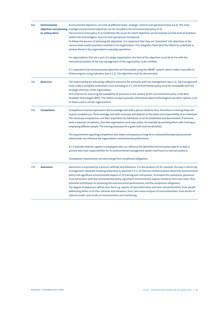| 6.2 | <b>Environmental</b><br>to achieve them                                                                                                                                                                                                                                                                                                                                                                                                                                                                                                                                                                                                                                                                                                                                                                                                                                                                                   | Environmental objectives can exist at different levels: strategic, tactical and operational (see A.6.2). The more<br>objectives and planning strategic environmental objectives can be included in the environmental policy (5.2).<br>The environmental policy (5.2) establishes the issues for which objectives are formulated and the level of ambition<br>(within the technological, financial and operational limitations).<br>To follow the process of achieving the objectives, it is important that they are 'translated' into objectives at the<br>various levels and/or positions involved in the organization. This integrates them (and the efforts to undertake to<br>achieve them) in the organization's everyday operations. |  |
|-----|---------------------------------------------------------------------------------------------------------------------------------------------------------------------------------------------------------------------------------------------------------------------------------------------------------------------------------------------------------------------------------------------------------------------------------------------------------------------------------------------------------------------------------------------------------------------------------------------------------------------------------------------------------------------------------------------------------------------------------------------------------------------------------------------------------------------------------------------------------------------------------------------------------------------------|--------------------------------------------------------------------------------------------------------------------------------------------------------------------------------------------------------------------------------------------------------------------------------------------------------------------------------------------------------------------------------------------------------------------------------------------------------------------------------------------------------------------------------------------------------------------------------------------------------------------------------------------------------------------------------------------------------------------------------------------|--|
|     |                                                                                                                                                                                                                                                                                                                                                                                                                                                                                                                                                                                                                                                                                                                                                                                                                                                                                                                           | For organizations that are a part of a larger organization, the level of the objectives must be in line with the<br>hierarchical position of the top management of the organization to be certified.                                                                                                                                                                                                                                                                                                                                                                                                                                                                                                                                       |  |
|     |                                                                                                                                                                                                                                                                                                                                                                                                                                                                                                                                                                                                                                                                                                                                                                                                                                                                                                                           | It is important that environmental objectives are formulated using the SMART system, which makes it possible to<br>follow progress using indicators (see 9.1.1). The objectives must be documented.                                                                                                                                                                                                                                                                                                                                                                                                                                                                                                                                        |  |
| 7.1 | <b>Resources</b>                                                                                                                                                                                                                                                                                                                                                                                                                                                                                                                                                                                                                                                                                                                                                                                                                                                                                                          | The responsibility for allocating sufficient resources lies primarily with top management (see 5.1). Top management<br>must make a complete assessment since according to 5.1, the environmental policy must be compatible with the<br>strategic direction of the organization.<br>One criterion for assessing the availability of resources in the context of the environmental policy is the Best<br>Available Technologies (BAT). The context analysis provides information about technological and other options, such<br>as those used in similar organizations.                                                                                                                                                                      |  |
| 7.2 | Competence                                                                                                                                                                                                                                                                                                                                                                                                                                                                                                                                                                                                                                                                                                                                                                                                                                                                                                                | Competence must be expressed in the knowledge and skills a person needs to have. Education or training helps one<br>acquire competences. The knowledge and skills necessary will depend on the duties and responsibility of an individual.<br>The necessary competences, and their acquisition by individuals, must be established and documented. If someone<br>lacks a required competence, then the organization must take action, for example by providing them with training or<br>employing different people. The training necessary for a given task must be identified.                                                                                                                                                            |  |
|     |                                                                                                                                                                                                                                                                                                                                                                                                                                                                                                                                                                                                                                                                                                                                                                                                                                                                                                                           | The requirements regarding competence also relate to temporary or long-term contracted (temporary) personnel<br>whose tasks can influence the organization's environmental performance.                                                                                                                                                                                                                                                                                                                                                                                                                                                                                                                                                    |  |
|     |                                                                                                                                                                                                                                                                                                                                                                                                                                                                                                                                                                                                                                                                                                                                                                                                                                                                                                                           | A.7.2 indicates that this applies to employees who can influence the identified environmental aspects as well as<br>persons who have responsibilities for its environmental management system itself (such as internal auditors).                                                                                                                                                                                                                                                                                                                                                                                                                                                                                                          |  |
|     |                                                                                                                                                                                                                                                                                                                                                                                                                                                                                                                                                                                                                                                                                                                                                                                                                                                                                                                           | Competence requirements can also emerge from compliance obligations.                                                                                                                                                                                                                                                                                                                                                                                                                                                                                                                                                                                                                                                                       |  |
| 7.3 | Awareness is expressed by a person's attitude and behaviour. It is the products of, for example, the way in which top<br><b>Awareness</b><br>management interprets showing leadership as required in 5.1, of internal communications about the environmental<br>policy and significant environmental aspects or of training and instructions. To achieve this awareness, personnel<br>must be familiar with the environmental policy, significant environmental aspects related to their own tasks, their<br>potential contribution to achieving the environmental performance, and the compliance obligations.<br>The degree of awareness will be clear from e.g. reports of nonconformities and near-nonconformities, from people<br>addressing others as to their attitude and behaviour, from root-cause analyses of nonconformities, from results of<br>internal audits, and results of measurements and monitoring. |                                                                                                                                                                                                                                                                                                                                                                                                                                                                                                                                                                                                                                                                                                                                            |  |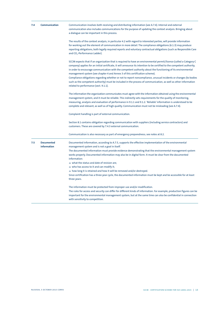| 7.4                                                   | Communication                    | Communication involves both receiving and distributing information (see A.7.4). Internal and external<br>communication also includes communications for the purpose of updating the context analysis. Bringing about<br>a dialogue can be important in this process.                                                                                                                                                                                                                                                                                                                                                                                                                                                        |  |  |
|-------------------------------------------------------|----------------------------------|-----------------------------------------------------------------------------------------------------------------------------------------------------------------------------------------------------------------------------------------------------------------------------------------------------------------------------------------------------------------------------------------------------------------------------------------------------------------------------------------------------------------------------------------------------------------------------------------------------------------------------------------------------------------------------------------------------------------------------|--|--|
|                                                       |                                  | The results of the context analysis, in particular 4.2 with regard to interested parties, will provide information<br>for working out the element of communication in more detail. The compliance obligations (6.1.3) may produce<br>reporting obligations, both legally required reports and voluntary contractual obligations (such as Responsible Care<br>and CO <sub>2</sub> -Performance Ladder).                                                                                                                                                                                                                                                                                                                      |  |  |
|                                                       |                                  | SCCM expects that if an organization that is required to have an environmental permit/licence (called a Category C<br>company) applies for an initial certificate, it will announce its intention to be certified to the competent authority,<br>in order to encourage communication with the competent authority about the functioning of its environmental<br>management system (see chapter 4 and Annex 3 of this certification scheme).<br>Compliance obligations regarding whether or not to report noncompliance, unusual incidents or changes (to bodies<br>such as the competent authority) must be included in the process of communication, as well as other information<br>related to performance (sect. 9.1.1). |  |  |
|                                                       |                                  | The information the organization communicates must agree with the information obtained using the environmental<br>management system, and it must be reliable. This indirectly sets requirements for the quality of monitoring,<br>measuring, analysis and evaluation of performance in 9.1.1 and 9.1.2. 'Reliable' information is understood to be<br>complete and relevant, as well as of high quality. Communication must not be misleading (see A.7.4).                                                                                                                                                                                                                                                                  |  |  |
| Complaint handling is part of external communication. |                                  |                                                                                                                                                                                                                                                                                                                                                                                                                                                                                                                                                                                                                                                                                                                             |  |  |
|                                                       |                                  | Section 8.1 contains obligation regarding communication with suppliers (including service contractors) and<br>customers. These are covered by 7.4.3 external communication.                                                                                                                                                                                                                                                                                                                                                                                                                                                                                                                                                 |  |  |
|                                                       |                                  | Communication is also necessary as part of emergency preparedness; see notes at 8.2.                                                                                                                                                                                                                                                                                                                                                                                                                                                                                                                                                                                                                                        |  |  |
| 7.5                                                   | <b>Documented</b><br>information | Documented information, according to A.7.5, supports the effective implementation of the environmental<br>management system and is not a goal in itself.<br>The documented information must provide evidence demonstrating that the environmental management system<br>works properly. Documented information may also be in digital form. It must be clear from the documented<br>information:                                                                                                                                                                                                                                                                                                                             |  |  |
|                                                       |                                  | $\rightarrow$ what the status and date of revision are;<br>$\rightarrow$ who has access to it and can modify it;                                                                                                                                                                                                                                                                                                                                                                                                                                                                                                                                                                                                            |  |  |
|                                                       |                                  | $\rightarrow$ how long it is retained and how it will be removed and/or destroyed.<br>Since certification has a three-year cycle, the documented information must be kept and be accessible for at least<br>three years.                                                                                                                                                                                                                                                                                                                                                                                                                                                                                                    |  |  |
|                                                       |                                  | The information must be protected from improper use and/or modification.<br>The rules for access and security can differ for different kinds of information. For example, production figures can be<br>important for the environmental management system, but at the same time can also be confidential in connection<br>with sensitivity to competition.                                                                                                                                                                                                                                                                                                                                                                   |  |  |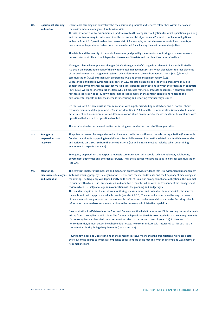| 8.1 | <b>Operational planning</b><br>and control             | Operational planning and control involve the operations, products and services established within the scope of<br>the environmental management system (see 4.3).<br>The risks associated with environmental aspects, as well as the compliance obligations for which operational planning<br>and control is necessary, in order to achieve the environmental objectives and/or meet compliance obligations<br>will come from 6.1. Operational control can consist of, for example, technical measures, control instruments, or<br>procedures and operational instructions that are relevant for achieving the environmental objectives.                                                                                                                                                                                                                                                                                                                                                                                   |  |  |
|-----|--------------------------------------------------------|---------------------------------------------------------------------------------------------------------------------------------------------------------------------------------------------------------------------------------------------------------------------------------------------------------------------------------------------------------------------------------------------------------------------------------------------------------------------------------------------------------------------------------------------------------------------------------------------------------------------------------------------------------------------------------------------------------------------------------------------------------------------------------------------------------------------------------------------------------------------------------------------------------------------------------------------------------------------------------------------------------------------------|--|--|
|     |                                                        | The details and the severity of the control measures (and possibly measures for monitoring and measurements<br>necessary for control in 9.1) will depend on the scope of the risks and the objectives determined in 6.2.                                                                                                                                                                                                                                                                                                                                                                                                                                                                                                                                                                                                                                                                                                                                                                                                  |  |  |
|     |                                                        | Managing planned or unplanned changes (MoC - Management of Change) is an element of 8.1. As indicated in<br>A.1 this is an important element of the environmental management system which also relates to other elements<br>of the environmental management system, such as determining the environmental aspects (6.1.2), internal<br>communication (7.4.2), internal audit programme (9.2) and the management review (9.3).<br>Because the significant environmental aspects in 6.1.2 are established using a life-cycle perspective, they also<br>generate the environmental aspects that must be considered for organizations to which the organization contracts<br>(outsource) work and/or organizations from which it procures materials, products or services. A control measure<br>for these aspects can be to lay down performance requirements in the contract stipulations related to the<br>environmental aspects and/or the methods for ensuring and reporting whether they are met.                        |  |  |
|     |                                                        | On the basis of 8.1, there must be communication with suppliers (including contractors) and customers about<br>relevant environmental requirements. These are identified in 6.1.2, and this communication is worked out in more<br>detail in section 7.4 on communication. Communication about environmental requirements can be combined with<br>operations that are part of operational control.                                                                                                                                                                                                                                                                                                                                                                                                                                                                                                                                                                                                                        |  |  |
|     |                                                        | The term 'contractor' includes all parties performing work under the control of the organization.                                                                                                                                                                                                                                                                                                                                                                                                                                                                                                                                                                                                                                                                                                                                                                                                                                                                                                                         |  |  |
| 8.2 | <b>Emergency</b><br>preparedness and<br>response       | The potential causes of emergencies and accidents can reside both within and outside the organization (for example,<br>flooding or accidents happening to neighbours. Potentially relevant information related to potential emergencies<br>and accidents can also arise from the context analysis (4.1 and 4.2) and must be included when determining<br>environmental aspects (see 6.1.2).                                                                                                                                                                                                                                                                                                                                                                                                                                                                                                                                                                                                                               |  |  |
|     |                                                        | Emergency preparedness and response requests communication with people such as employees, neighbours,<br>government authorities and emergency services. Thus, these parties must be included in plans for communication<br>(see 7.4).                                                                                                                                                                                                                                                                                                                                                                                                                                                                                                                                                                                                                                                                                                                                                                                     |  |  |
| 9.1 | Monitoring,<br>measurement, analysis<br>and evaluation | The certificate holder must measure and monitor in order to provide evidence that its environmental management<br>system is working properly. The organization itself defines the methods to use and the frequency of measuring and<br>monitoring. The frequency will depend partly on the risks at issue and on any compliance obligations. The minimal<br>frequency with which issues are measured and monitored must be in line with the frequency of the management<br>review, which is usually once a year in connection with the planning and budget cycle.<br>The standard requires that the results of monitoring, measurement, and evaluation be reproducible, the sources<br>traceable and that they produce reliable results (see also A 9.1.1). The method also includes the way that results<br>of measurements are processed into environmental information (such as calculation methods). Providing reliable<br>information requires devoting some attention to the necessary administrative capabilities. |  |  |
|     |                                                        | An organization itself determines the form and frequency with which it determines if it is meeting the requirements<br>arising from its compliance obligations. The frequency depends on the risks associated with particular requirements.<br>If a noncompliance is identified, measures must be taken to control and correct it (see 10.2). In the event of<br>nonconformities, it must determine whether it is necessary to communicate with interested parties such as the<br>competent authority for legal requirements (see 7.4 and 4.2).                                                                                                                                                                                                                                                                                                                                                                                                                                                                           |  |  |
|     |                                                        | Having knowledge and understanding of the compliance status means that the organization always has a total<br>overview of the degree to which its compliance obligations are being met and what the strong and weak points of<br>its compliance are.                                                                                                                                                                                                                                                                                                                                                                                                                                                                                                                                                                                                                                                                                                                                                                      |  |  |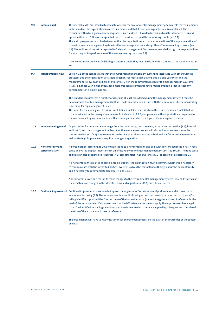| 9.2  | <b>Internal audit</b>                         | The internal audits are intended to evaluate whether the environmental management system meets the requirements<br>in the standard, the organization's own requirements, and that it functions in practice and is maintained. The<br>frequency with which given operations/processes are audited is linked to factors such as the associated risks and<br>opportunities (see 6.1), any changes that need to be addressed, and the monitoring results (see 9.1).<br>The audit programme must be designed so that the organization can make an evaluation of the implementation of<br>its environmental management system in all operations/processes and any other offices covered by its scope (see<br>4.3). The audit results must be reported to 'relevant' management. Top management shall assign the responsibilities<br>for reporting on the performance of the management system (see 5.3). |  |
|------|-----------------------------------------------|----------------------------------------------------------------------------------------------------------------------------------------------------------------------------------------------------------------------------------------------------------------------------------------------------------------------------------------------------------------------------------------------------------------------------------------------------------------------------------------------------------------------------------------------------------------------------------------------------------------------------------------------------------------------------------------------------------------------------------------------------------------------------------------------------------------------------------------------------------------------------------------------------|--|
|      |                                               | If nonconformities are identified during an internal audit, they must be dealt with according to the requirements in<br>10.2.                                                                                                                                                                                                                                                                                                                                                                                                                                                                                                                                                                                                                                                                                                                                                                      |  |
| 9.3  | <b>Management review</b>                      | Section 5.1 of the standard asks that the environmental management system be integrated with other business<br>processes and the organization's strategic direction. For most organizations this is a one-year cycle, and the<br>management review must be linked to this cycle. Given the commitment asked of top management in 5.1, some<br>issues, e.g. those with a higher risk, need more frequent attention from top management in order to steer any<br>developments in a timely manner.                                                                                                                                                                                                                                                                                                                                                                                                    |  |
|      |                                               | The standard requires that a number of issues be at least considered during the management review. It must be<br>demonstrable that top management itself has made an evaluation, in line with the requirements for demonstrating<br>leadership for top management in 5.1.                                                                                                                                                                                                                                                                                                                                                                                                                                                                                                                                                                                                                          |  |
|      |                                               | The input for the management review is not defined in 9.3, as it results from the issues mentioned in 9.3 that are<br>to be considered in the management review. As indicated in A.9.3, complaints and the organization's responses to<br>them are covered by 'communication with external parties', which is a topic of the management review.                                                                                                                                                                                                                                                                                                                                                                                                                                                                                                                                                    |  |
| 10.1 | Improvement -general                          | Opportunities for improvement emerge from the monitoring, measurement, analysis and evaluation (9.1), internal<br>audits (9.2) and the management review (9.3). The management review will also add improvements from the<br>context analysis (4.1/4.2). Improvements can be related to short-term organizational and/or technical measures as<br>well as strategic improvements requiring a longer preparation.                                                                                                                                                                                                                                                                                                                                                                                                                                                                                   |  |
| 10.2 | <b>Nonconformity and</b><br>corrective action | An organization, according to 10.2, must respond to a nonconformity and deal with any consequences it has. A root-<br>cause analysis is of great importance in an effective environmental management system (see 10.2 b). The root-cause<br>analysis can also be related to resources (7.1), competencies (7.2), awareness (7.3) or control of processes (8.1).                                                                                                                                                                                                                                                                                                                                                                                                                                                                                                                                    |  |
|      |                                               | If a nonconformity is related to compliance obligations, the organization must determine whether it is necessary<br>to communicate with the interested parties involved (such as the competent authority) about the nonconformity,<br>and if necessary to communicate (see also 7.4 and 9.1.1).                                                                                                                                                                                                                                                                                                                                                                                                                                                                                                                                                                                                    |  |
|      |                                               | Nonconformities can be a reason to make changes to the environmental management system (10.2 e). In particular,<br>the need to make changes in the identified risks and opportunities (6.1) must be considered.                                                                                                                                                                                                                                                                                                                                                                                                                                                                                                                                                                                                                                                                                    |  |
| 10.3 |                                               | <b>Continual improvement</b> Continual improvement must aim to improve the organization's environmental performance as laid down in the<br>environmental policy (5.2). The improvement is a result of taking action that results in a reduction of risks and/or<br>taking identified opportunities. The outcome of the context analysis (4.1 and 4.2) gives a frame of reference for the<br>level of the improvement. If documents such as the BAT reference documents apply, the improvement has a legal<br>basis. The identified technological options and the degree to which these are applied by colleagues and considered<br>the state of the art are also frames of reference.                                                                                                                                                                                                              |  |
|      |                                               | The organization will have to justify its continual improvement process on the basis of the outcomes of the context<br>analysis.                                                                                                                                                                                                                                                                                                                                                                                                                                                                                                                                                                                                                                                                                                                                                                   |  |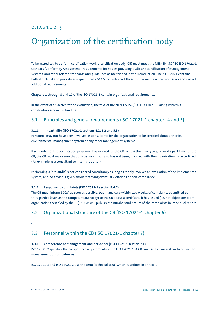## <span id="page-15-0"></span>Organization of the certification body

To be accredited to perform certification work, a certification body (CB) must meet the NEN-EN-ISO/IEC ISO 17021-1 standard 'Conformity Assessment - requirements for bodies providing audit and certification of management systems' and other related standards and guidelines as mentioned in the introduction. The ISO 17021 contains both structural and procedural requirements. SCCM can interpret these requirements where necessary and can set additional requirements.

Chapters 1 through 8 and 10 of the ISO 17021-1 contain organizational requirements.

In the event of an accreditation evaluation, the text of the NEN-EN-ISO/IEC ISO 17021-1, along with this certification scheme, is binding.

## 3.1 Principles and general requirements (ISO 17021-1 chapters 4 and 5)

## **3.1.1 Impartiality (ISO 17021-1 sections 4.2, 5.2 and 5.3)**

Personnel may not have been involved as consultants for the organization to be certified about either its environmental management system or any other management systems.

If a member of the certification personnel has worked for the CB for less than two years, or works part-time for the CB, the CB must make sure that this person is not, and has not been, involved with the organization to be certified (for example as a consultant or internal auditor).

Performing a 'pre-audit' is not considered consultancy as long as it only involves an evaluation of the implemented system, and no advice is given about rectifying eventual violations or non-compliance.

### **3.1.2 Response to complaints (ISO 17021-1 section 9.6.7)**

The CB must inform SCCM as soon as possible, but in any case within two weeks, of complaints submitted by third parties (such as the competent authority) to the CB about a certificate it has issued (i.e. not objections from organizations certified by the CB). SCCM will publish the number and nature of the complaints in its annual report.

## 3.2 Organizational structure of the CB (ISO 17021-1 chapter 6)

-

## 3.3 Personnel within the CB (ISO 17021-1 chapter 7)

### **3.3.1 Competence of management and personnel (ISO 17021-1 section 7.1)**

ISO 17021-2 specifies the competence requirements set in ISO 17021-1. A CB can use its own system to define the management of competences.

ISO 17021-1 and ISO 17021-2 use the term 'technical area', which is defined in annex 4.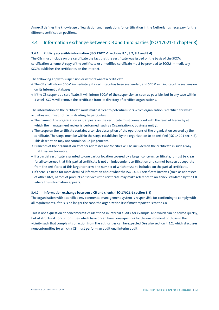<span id="page-16-0"></span>Annex 5 defines the knowledge of legislation and regulations for certification in the Netherlands necessary for the different certification positions.

## 3.4 Information exchange between CB and third parties (ISO 17021-1 chapter 8)

## **3.4.1 Publicly accessible information (ISO 17021-1 sections 8.1, 8.2, 8.3 and 8.4)**

The CBs must include on the certificate the fact that the certificate was issued on the basis of the SCCM certification scheme. A copy of the certificate or a modified certificate must be provided to SCCM immediately. SCCM publishes the certificates on the Internet.

The following apply to suspension or withdrawal of a certificate:

- **<sup>&</sup>gt;** The CB shall inform SCCM immediately if a certificate has been suspended, and SCCM will indicate the suspension on its Internet database;
- **<sup>&</sup>gt;** If the CB suspends a certificate, it will inform SCCM of the suspension as soon as possible, but in any case within 1 week. SCCM will remove the certificate from its directory of certified organizations.

The information on the certificate must make it clear to potential users which organization is certified for what activities and must not be misleading. In particular:

- **<sup>&</sup>gt;** The name of the organization as it appears on the certificate must correspond with the level of hierarchy at which the management review is performed (such as Organization x, business unit y).
- **<sup>&</sup>gt;** The scope on the certificate contains a concise description of the operations of the organization covered by the certificate. The scope must be within the scope established by the organization to be certified (ISO 14001 sec. 4.3). This description may not contain value judgements.
- **<sup>&</sup>gt;** Branches of the organization at other addresses and/or cities will be included on the certificate in such a way that they are traceable.
- **<sup>&</sup>gt;** If a partial certificate is granted to one part or location covered by a larger concern's certificate, it must be clear for all concerned that this partial certificate is not an independent certification and cannot be seen as separate from the certificate of this larger concern, the number of which must be included on the partial certificate.
- **<sup>&</sup>gt;** If there is a need for more detailed information about what the ISO 14001 certificate involves (such as addresses of other sites, names of products or services) the certificate may make reference to an annex, validated by the CB, where this information appears.

#### **3.4.2 Information exchange between a CB and clients (ISO 17021-1 section 8.5)**

The organization with a certified environmental management system is responsible for continuing to comply with all requirements. If this is no longer the case, the organization itself must report this to the CB.

This is not a question of nonconformities identified in internal audits, for example, and which can be solved quickly, but of structural nonconformities which have or can have consequences for the environment or those in the vicinity such that complaints or action from the authorities can be expected. See also section 4.5.2, which discusses nonconformities for which a CB must perform an additional interim audit.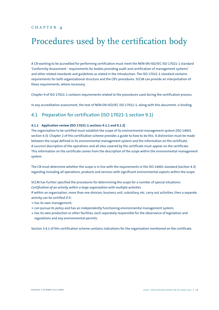## <span id="page-17-0"></span>Procedures used by the certification body

A CB wanting to be accredited for performing certification must meet the NEN-EN-ISO/IEC ISO 17021-1 standard 'Conformity Assessment - requirements for bodies providing audit and certification of management systems' and other related standards and guidelines as stated in the introduction. The ISO 17021-1 standard contains requirements for both organizational structure and the CB's procedures. SCCM can provide an interpretation of these requirements, where necessary.

Chapter 9 of ISO 17021-1 contains requirements related to the procedures used during the certification process.

In any accreditation assessment, the text of NEN-EN-ISO/IEC ISO 17021-1, along with this document, is binding.

## 4.1 Preparation for certification (ISO 17021-1 section 9.1)

### **4.1.1 Application review (ISO 17021-1 sections 9.1.1 and 9.1.2)**

The organization to be certified must establish the scope of its environmental management system (ISO 14001 section 4.3). Chapter 2 of this certification scheme provides a guide to how to do this. A distinction must be made between the scope defined in its environmental management system and the information on the certificate. A succinct description of the operations and all sites covered by the certificate must appear on the certificate. This information on the certificate comes from the description of the scope within the environmental management system.

The CB must determine whether the scope is in line with the requirements in the ISO 14001 standard (section 4.3) regarding including all operations, products and services with significant environmental aspects within the scope.

SCCM has further specified the procedures for determining the scope for a number of special situations: *Certification of an activity within a large organization with multiple activities*

If within an organization, more than one division, business unit, subsidiary, etc. carry out activities, then a separate activity can be certified if it:

- **<sup>&</sup>gt;** has its own management;
- **<sup>&</sup>gt;** can pursue its policy and has an independently functioning environmental management system;
- **<sup>&</sup>gt;** has its own production or other facilities, each separately responsible for the observance of legislation and regulations and any environmental permits.

Section 3.4.1 of this certification scheme contains indications for the organization mentioned on the certificate.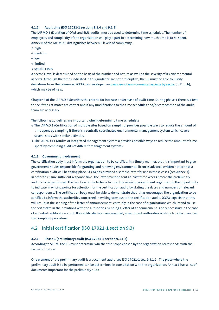#### <span id="page-18-0"></span>**4.1.2 Audit time (ISO 17021-1 sections 9.1.4 and 9.1.5)**

The IAF MD 5 (Duration of QMS and EMS audits) must be used to determine time schedules. The number of employees and complexity of the organization will play a part in determining how much time is to be spent. Annex B of the IAF MD 5 distinguishes between 5 levels of complexity:

- **<sup>&</sup>gt;** high
- **<sup>&</sup>gt;** medium
- **<sup>&</sup>gt;** low
- **<sup>&</sup>gt;** limited
- **<sup>&</sup>gt;** special cases

A sector's level is determined on the basis of the number and nature as well as the severity of its environmental aspects. Although the times indicated in this guidance are not prescriptive, the CB must be able to justify deviations from the reference. SCCM has developed an [overview of environmental aspects by sector](https://sccm.nl/node/47755/attachment/newest/) (in Dutch), which may be of help.

Chapter 8 of the IAF MD 5 describes the criteria for increase or decrease of audit time. During phase 1 there is a test to see if the estimates are correct and if any modifications to the time schedules and/or composition of the audit team are necessary.

The following guidelines are important when determining time schedules:

- **<sup>&</sup>gt;** The IAF MD 1 (Certification of multiple sites based on sampling) provides possible ways to reduce the amount of time spent by sampling if there is a centrally coordinated environmental management system which covers several sites with similar activities.
- **<sup>&</sup>gt;** The IAF MD 11 (Audits of integrated management systems) provides possible ways to reduce the amount of time spent by combining audits of different management systems.

### **4.1.3 Government involvement**

The certification body must inform the organization to be certified, in a timely manner, that it is important to give government bodies responsible for granting and renewing environmental licences advance written notice that a certification audit will be taking place. SCCM has provided a sample letter for use in these cases (see Annex 3). In order to ensure sufficient response time, the letter must be sent at least three weeks before the preliminary audit is to be performed. The function of the letter is to offer the relevant government organization the opportunity to indicate in writing points for attention for the certification audit, by stating the dates and numbers of relevant correspondence. The certification body must be able to demonstrate that it has encouraged the organization to be certified to inform the authorities concerned in writing previous to the certification audit. SCCM expects that this will result in the sending of the letter of announcement, certainly in the case of organizations which intend to use the certificate in their relations with the authorities. Sending a letter of announcement is only necessary in the case of an initial certification audit. If a certificate has been awarded, government authorities wishing to object can use the complaint procedure.

## 4.2 Initial certification (ISO 17021-1 section 9.3)

#### **4.2.1 Phase 1 (preliminary) audit (ISO 17021-1 section 9.3.1.2)**

According to SCCM, the CB must determine whether the scope chosen by the organization corresponds with the factual situation.

One element of the preliminary audit is a document audit (see ISO 17021-1 sec. 9.3.1.2). The place where the preliminary audit is to be performed can be determined in consultation with the organization. Annex 1 has a list of documents important for the preliminary audit.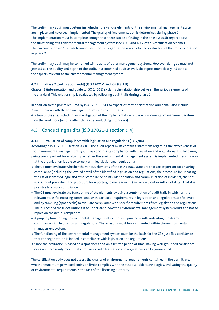<span id="page-19-0"></span>The preliminary audit must determine whether the various elements of the environmental management system are in place and have been implemented. The quality of implementation is determined during phase 2. The implementation must be complete enough that there can be a finding in the phase 2 audit report about the functioning of its environmental management system (see 4.3.1 and 4.3.2 of this certification scheme). The purpose of phase 1 is to determine whether the organization is ready for the evaluation of the implementation in phase 2.

The preliminary audit may be combined with audits of other management systems. However, doing so must not jeopardize the quality and depth of the audit. In a combined audit as well, the report must clearly indicate all the aspects relevant to the environmental management system.

### **4.2.2 Phase 2 (certification audit) (ISO 17021-1 section 9.3.1.3)**

Chapter 2 (interpretation and guide to ISO 14001) explains the relationship between the various elements of the standard. This relationship is evaluated by following audit trails during phase 2.

In addition to the points required by ISO 17021-1, SCCM expects that the certification audit shall also include:

- **<sup>&</sup>gt;** an interview with the top management responsible for that site;
- **<sup>&</sup>gt;** a tour of the site, including an investigation of the implementation of the environmental management system on the work floor (among other things by conducting interviews).

## 4.3 Conducting audits (ISO 17021-1 section 9.4)

#### **4.3.1 Evaluation of compliance with legislation and regulations (EA-7/04)**

According to ISO 17021-1 section 9.4.8.3, the audit report must contain a statement regarding the effectiveness of the environmental management system as concerns its compliance with legislation and regulations. The following points are important for evaluating whether the environmental management system is implemented in such a way that the organization is able to comply with legislation and regulations:

- **<sup>&</sup>gt;** The CB must evaluate whether the various elements of the ISO 14001 standard that are important for ensuring compliance (including the level of detail of the identified legislation and regulations, the procedure for updating the list of identified legal and other compliance points, identification and communication of incidents, the selfassessment procedure, the procedure for reporting to management) are worked out in sufficient detail that it is possible to ensure compliance.
- **<sup>&</sup>gt;** The CB must evaluate the functioning of the elements by using a combination of audit trails in which all the relevant steps for ensuring compliance with particular requirements in legislation and regulations are followed, and by sampling (spot checks) to evaluate compliance with specific requirements from legislation and regulations. The purpose of these evaluations is to understand how the environmental management system works and not to report on the actual compliance.
- **<sup>&</sup>gt;** A properly functioning environmental management system will provide results indicating the degree of compliance with legislation and regulations. These results must be documented within the environmental management system.
- **<sup>&</sup>gt;** The functioning of the environmental management system must be the basis for the CB's justified confidence that the organization is indeed in compliance with legislation and regulations.
- **<sup>&</sup>gt;** Since the evaluation is based on a spot check and on a limited period of time, having well-grounded confidence does not necessarily mean that compliance with legislation and regulations can be guaranteed.

The certification body does not assess the quality of environmental requirements contained in the permit, e.g. whether maximum permitted emission limits complies with the best available technologies. Evaluating the quality of environmental requirements is the task of the licensing authority.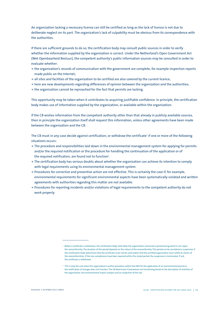An organization lacking a necessary license can still be certified as long as the lack of licence is not due to deliberate neglect on its part. The organization's lack of culpability must be obvious from its correspondence with the authorities.

If there are sufficient grounds to do so, the certification body may consult public sources in order to verify whether the information supplied by the organization is correct. Under the Netherland's Open Government Act (Wet Openbaarheid Bestuur), the competent authority's public information sources may be consulted in order to evaluate whether:

- **<sup>&</sup>gt;** the organization's records of communication with the government are complete, for example inspection reports made public on the Internet;
- **<sup>&</sup>gt;** all sites and facilities of the organization to be certified are also covered by the current licence;
- **<sup>&</sup>gt;** here are new developments regarding differences of opinion between the organization and the authorities;
- **<sup>&</sup>gt;** the organization cannot be reproached for the fact that permits are lacking.

This opportunity may be taken when it contributes to acquiring justifiable confidence. In principle, the certification body makes use of information supplied by the organization, or available within the organization.

If the CB wishes information from the competent authority other than that already in publicly available sources, then in principle the organization itself shall request this information, unless other agreements have been made between the organization and the CB.

The CB must in any case decide against certification, or withdraw the certificate<sup>1</sup> if one or more of the following situations occurs:

- **<sup>&</sup>gt;** The procedure and responsibilities laid down in the environmental management system for applying for permits and/or the required notification or the procedure for handling the continuation of the application or of the required notification, are found not to function $^2$ .
- **<sup>&</sup>gt;** The certification body has serious doubts about whether the organization can achieve its intention to comply with legal requirements using its environmental management system.
- **<sup>&</sup>gt;** Procedures for corrective and preventive action are not effective. This is certainly the case if, for example, environmental requirements for significant environmental aspects have been systematically violated and written agreements with authorities regarding this matter are not available.
- **<sup>&</sup>gt;** Procedures for reporting incidents and/or violations of legal requirements to the competent authority do not work properly.

 $1$  Before a certificate is withdrawn, the certification body shall allow the organization concerned a period during which it can repair the nonconformity. The duration of this period depends on the nature of the nonconformity. This period can be considered a suspension if the certification body determines that the certificate must not be used and/or that the certified organization must notify its clients of the nonconformities. If the non-compliances have been repaired within the stated period, the suspension is terminated. If not, the certificate is withdrawn.

<sup>2</sup> This is only the case when the organization's written procedure within the EMS for the application of an environmental permit or the notification of changes does not function. The CB determines if procedures are functioning based on the description of activities of the organization, the environmental impact analysis and an inspection of the site.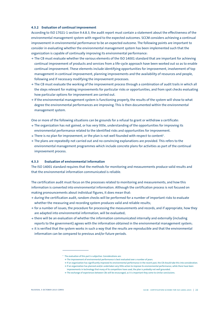#### <span id="page-21-0"></span>**4.3.2 Evaluation of continual improvement**

According to ISO 17021-1 section 9.4.8.3, the audit report must contain a statement about the effectiveness of the environmental management system with regard to the expected outcomes. SCCM considers achieving a continual improvement in environmental performance to be an expected outcome. The following points are important to consider in evaluating whether the environmental management system has been implemented such that the organization is capable of continually improving its environmental performance:

- **<sup>&</sup>gt;** The CB must evaluate whether the various elements of the ISO 14001 standard that are important for achieving continual improvement of products and services from a life-cycle approach have been worked out so as to enable continual improvement. These elements include identifying opportunities for improvement, involvement of top management in continual improvement, planning improvements and the availability of resources and people, following and if necessary modifying the improvement processes.
- **<sup>&</sup>gt;** The CB must evaluate the working of the improvement process through a combination of audit trails in which all the steps relevant for making improvements for particular risks or opportunities, and from spot checks evaluating how particular options for improvement are carried out.
- **<sup>&</sup>gt;** If the environmental management system is functioning properly, the results of the system will show to what degree the environmental performances are improving. This is then documented within the environmental management system.

One or more of the following situations can be grounds for a refusal to grant or withdraw a certificate:

- **<sup>&</sup>gt;** The organization has not gained, or has very little, understanding of the opportunities for improving its environmental performance related to the identified risks and opportunities for improvement.
- $\rightarrow$  There is no plan for improvement, or the plan is not well founded with respect to content $^3$ .
- **<sup>&</sup>gt;** The plans are repeatedly not carried out and no convincing explanations are provided. This refers to the environmental management programmes which include concrete plans for activities as part of the continual improvement process.

#### **4.3.3 Evaluation of environmental information**

The ISO 14001 standard requires that the methods for monitoring and measurements produce valid results and that the environmental information communicated is reliable.

The certification audit must focus on the processes related to monitoring and measurements, and how this information is converted into environmental information. Although the certification process is not focused on making pronouncements about individual figures, it does mean that:

- **<sup>&</sup>gt;** during the certification audit, random checks will be performed for a number of important risks to evaluate whether the measuring and recording system produces valid and reliable results;
- **<sup>&</sup>gt;** for a number of issues, the procedure for processing the measurements and records, and if appropriate, how they are adapted into environmental information, will be evaluated;
- **<sup>&</sup>gt;** there will be an evaluation of whether the information communicated internally and externally (including reports to the government) agrees with the information obtained in the environmental management system;
- **<sup>&</sup>gt;** it is verified that the system works in such a way that the results are reproducible and that the environmental information can be compared to previous and/or future periods.

<sup>&</sup>lt;sup>3</sup> The evaluation of this part is subjective. Considerations are:

**<sup>&</sup>gt;** The improvement of environmental performance is best evaluated over a number of years.

**<sup>&</sup>gt;** If an organization has significantly improved its environmental performance in the recent past, the CB should take this into consideration. **>** If an organization has planned and/or undertaken very little action to improve its environmental performance, while there have been

improvements in technology that many of its competitors have used, the plan is probably not well grounded.

**<sup>&</sup>gt;** The exchange of experiences between CBs will be encouraged, as it is important they come to similar conclusions.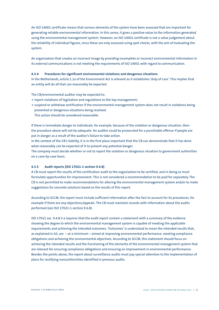<span id="page-22-0"></span>An ISO 14001 certificate means that various elements of the system have been assessed that are important for generating reliable environmental information. In this sense, it gives a positive value to the information generated using the environmental management system. However, an ISO 14001 certificate is not a value judgement about the reliability of individual figures, since these are only assessed using spot checks, with the aim of evaluating the system.

An organization that creates an incorrect image by providing incomplete or incorrect environmental information in its external communications is not meeting the requirements of ISO 14001 with regard to communication.

#### **4.3.4 Procedures for significant environmental violations and dangerous situations**

In the Netherlands, article 1.1a of the Environment Act is relevant as it establishes 'duty of care'. This implies that an entity will do all that can reasonably be expected.

The CB/environmental auditor may be expected to:

- **<sup>&</sup>gt;** report violations of legislation and regulations to the top management;
- **<sup>&</sup>gt;** suspend or withdraw certification if the environmental management system does not result in violations being prevented or dangerous situations being resolved.
	- This action should be considered reasonable.

If there is immediate danger to individuals, for example, because of the violation or dangerous situation, then the procedure above will not be adequate. An auditor could be prosecuted for a punishable offence if people are put in danger as a result of the auditor's failure to take action.

In the context of the CB's liability, it is in the first place important that the CB can demonstrate that it has done what reasonably can be expected of it to prevent any potential danger.

The company must decide whether or not to report the violation or dangerous situation to government authorities on a case-by-case basis.

### **4.3.5 Audit reports (ISO 17021-1 section 9.4.8)**

A CB must report the results of the certification audit to the organization to be certified, and in doing so must formulate opportunities for improvement. This is not considered a recommendation to be paid for separately. The CB is not permitted to make recommendations for altering the environmental management system and/or to make suggestions for concrete solutions based on the results of this report.

According to SCCM, the report must include sufficient information after the fact to account for its procedures, for example if there are any objections/appeals. The CB must maintain records with information about the audits performed (see ISO 17021-1 section 9.6.8).

ISO 17021 sec. 9.4.8.3 a requires that the audit report contain a statement with a summary of the evidence showing the degree to which the environmental management system is capable of meeting the applicable requirements and achieving the intended outcomes. 'Outcomes' is understood to mean the intended results that, as explained in A3, are – at a minimum – aimed at improving environmental performance, meeting compliance obligations and achieving the environmental objectives. According to SCCM, this statement should focus on achieving the intended results and the functioning of the elements of the environmental management system that are relevant for ensuring compliance obligations and ensuring an improvement in environmental performance. Besides the points above, the report about surveillance audits must pay special attention to the implementation of plans for rectifying nonconformities identified in previous audits.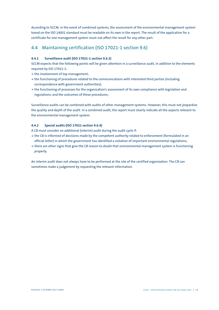<span id="page-23-0"></span>According to SCCM, in the event of combined systems, the assessment of the environmental management system based on the ISO 14001 standard must be readable on its own in the report. The result of the application for a certificate for one management system must not affect the result for any other part.

## 4.4 Maintaining certification (ISO 17021-1 section 9.6)

## **4.4.1 Surveillance audit (ISO 17021-1 section 9.6.2)**

SCCM expects that the following points will be given attention in a surveillance audit, in addition to the elements required by ISO 17021-1:

- **<sup>&</sup>gt;** the involvement of top management;
- **<sup>&</sup>gt;** the functioning of procedures related to the communications with interested third parties (including correspondence with government authorities);
- **<sup>&</sup>gt;** the functioning of processes for the organization's assessment of its own compliance with legislation and regulations, and the outcomes of these procedures;

Surveillance audits can be combined with audits of other management systems. However, this must not jeopardize the quality and depth of the audit. In a combined audit, the report must clearly indicate all the aspects relevant to the environmental management system.

## **4.4.2 Special audits (ISO 17021 section 9.6.4)**

A CB must consider an additional (interim) audit during the audit cycle if:

- **<sup>&</sup>gt;** the CB is informed of decisions made by the competent authority related to enforcement (formulated in an official letter) in which the government has identified a violation of important environmental regulations;
- **<sup>&</sup>gt;** there are other signs that give the CB reason to doubt that environmental management system is functioning properly.

An interim audit does not always have to be performed at the site of the certified organization. The CB can sometimes make a judgement by requesting the relevant information.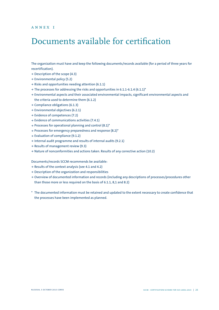## <span id="page-24-0"></span>Documents available for certification

The organization must have and keep the following documents/records available (for a period of three years for recertification).

- **<sup>&</sup>gt;** Description of the scope (4.3)
- **<sup>&</sup>gt;** Environmental policy (5.2)
- **<sup>&</sup>gt;** Risks and opportunities needing attention (6.1.1)
- **<sup>&</sup>gt;** The processes for addressing the risks and opportunities in 6.1.1-6.1.4 (6.1.1)\*
- **<sup>&</sup>gt;** Environmental aspects and their associated environmental impacts, significant environmental aspects and the criteria used to determine them (6.1.2)
- **<sup>&</sup>gt;** Compliance obligations (6.1.3)
- **<sup>&</sup>gt;** Environmental objectives (6.2.1)
- **<sup>&</sup>gt;** Evidence of competences (7.2)
- **<sup>&</sup>gt;** Evidence of communications activities (7.4.1)
- **<sup>&</sup>gt;** Processes for operational planning and control (8.1)\*
- **<sup>&</sup>gt;** Processes for emergency preparedness and response (8.2)\*
- **<sup>&</sup>gt;** Evaluation of compliance (9.1.2)
- **<sup>&</sup>gt;** Internal audit programme and results of internal audits (9.2.1)
- **<sup>&</sup>gt;** Results of management review (9.3)
- **<sup>&</sup>gt;** Nature of nonconformities and actions taken. Results of any corrective action (10.2)

Documents/records SCCM recommends be available:

- **<sup>&</sup>gt;** Results of the context analysis (see 4.1 and 4.2)
- **<sup>&</sup>gt;** Description of the organization and responsibilities
- **<sup>&</sup>gt;** Overview of documented information and records (including any descriptions of processes/procedures other than those more or less required on the basis of 6.1.1, 8,1 and 8.2)
- \* The documented information must be retained and updated to the extent necessary to create confidence that the processes have been implemented as planned.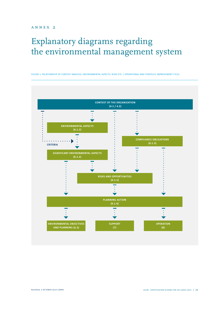## <span id="page-25-0"></span>Explanatory diagrams regarding the environmental management system

Figure 1: Relationship of context analysis, environmental aspects, risks etc. / operational and strategic improvement cycle

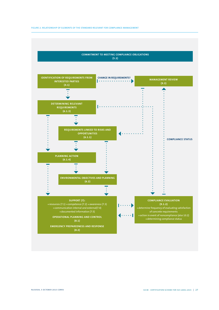

#### Figure 2: Relationship of elements of the standard relevant for compliance management

**(9.1.2) <sup>&</sup>gt;**resources (7.1) **>** competence (7.2) **>** awareness (7.3) ł  $\cdots$  ) **<sup>&</sup>gt;**determine frequency of evaluating satisfaction **<sup>&</sup>gt;**communication internal and external(7.4) **<sup>&</sup>gt;**documented information (7.5) of concrete requirements  $\ldots$ **<sup>&</sup>gt;**action in event of noncompliance (also 10.2) **Operational planning and control <sup>&</sup>gt;**determining compliance status **Emergency preparedness and response**

**(8.1)**

**(8.2)**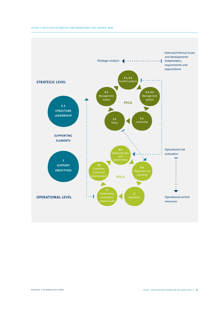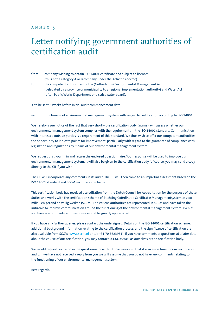## <span id="page-28-0"></span>annex 3

## Letter notifying government authorities of certification audit

- from: company wishing to obtain ISO 14001 certificate and subject to licences (thus not a category A or B company under the Activities decree)
- to: the competent authorities for the (Netherlands) Environmental Management Act (delegated by a province or municipality to a regional implementation authority) and Water Act (often Public Works Department or district water board).

**<sup>&</sup>gt;** to be sent 3 weeks before initial audit commencement date

re: functioning of environmental management system with regard to certification according to ISO 14001

We hereby issue notice of the fact that very shortly the certification body <name> will assess whether our environmental management system complies with the requirements in the ISO 14001 standard. Communication with interested outside parties is a requirement of this standard. We thus wish to offer our competent authorities the opportunity to indicate points for improvement, particularly with regard to the guarantee of compliance with legislation and regulations by means of our environmental management system.

We request that you fill in and return the enclosed questionnaire. Your response will be used to improve our environmental management system. It will also be given to the certification body (of course, you may send a copy directly to the CB if you wish).

The CB will incorporate any comments in its audit. The CB will then come to an impartial assessment based on the ISO 14001 standard and SCCM certification scheme.

This certification body has received accreditation from the Dutch Council for Accreditation for the purpose of these duties and works with the certification scheme of Stichting Coördinatie Certificatie Managementsystemen voor milieu en gezond en veilig werken (SCCM). The various authorities are represented in SCCM and have taken the initiative to improve communication around the functioning of the environmental management system. Even if you have no comments, your response would be greatly appreciated.

If you have any further queries, please contact the undersigned. Details on the ISO 14001 certification scheme, additional background information relating to the certification process, and the significance of certification are also available from SCCM [\(www.sccm.nl](https://www.sccm.nl/) or tel: +31 70 3623981). If you have comments or questions at a later date about the course of our certification, you may contact SCCM, as well as ourselves or the certification body.

We would request you send in the questionnaire within three weeks, so that it arrives on time for our certification audit. If we have not received a reply from you we will assume that you do not have any comments relating to the functioning of our environmental management system.

Best regards,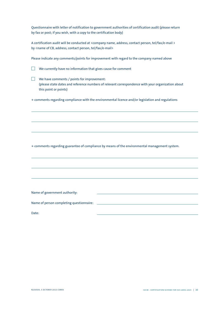Questionnaire with letter of notification to government authorities of certification audit (please return by fax or post; if you wish, with a copy to the certification body)

A certification audit will be conducted at <company name, address, contact person, tel/fax/e-mail > by <name of CB, address, contact person, tel/fax/e-mail>

Please indicate any comments/points for improvement with regard to the company named above

 $\Box$  We currently have no information that gives cause for comment

 $\Box$  We have comments / points for improvement: (please state dates and reference numbers of relevant correspondence with your organization about this point or points)

**<sup>&</sup>gt;** comments regarding compliance with the environmental licence and/or legislation and regulations

**<sup>&</sup>gt;** comments regarding guarantee of compliance by means of the environmental management system.

Name of government authority:

Name of person completing questionnaire:

Date:

l

l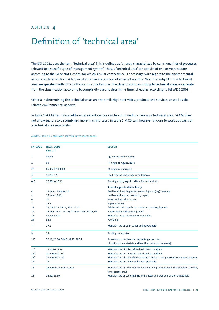## <span id="page-30-0"></span>Definition of 'technical area'

The ISO 17021 uses the term 'technical area'. This is defined as 'an area characterized by commonalities of processes relevant to a specific type of management system'. Thus, a 'technical area' can consist of one or more sectors according to the EA or NACE codes, for which similar competence is necessary (with regard to the environmental aspects of these sectors). A technical area can also consist of a part of a sector. Next, the subjects for a technical area are specified with which officials must be familiar. The classification according to technical areas is separate from the classification according to complexity used to determine time schedules according to IAF MD5:2009.

Criteria in determining the technical areas are the similarity in activities, products and services, as well as the related environmental aspects.

In table 1 SCCM has indicated to what extent sectors can be combined to make up a technical area. SCCM does not allow sectors to be combined more than indicated in table 1. A CB can, however, choose to work out parts of a technical area separately.

| <b>EA-CODE</b> | <b>NACE-CODE</b><br><b>REV. 2**</b>             | <b>SECTOR</b>                                                                                          |
|----------------|-------------------------------------------------|--------------------------------------------------------------------------------------------------------|
| 1              | 01,02                                           | <b>Agriculture and Forestry</b>                                                                        |
| 1              | 03                                              | <b>Fishing and Aquaculture</b>                                                                         |
| $2^*$          | 05, 06, 07, 08, 09                              | Mining and quarrying                                                                                   |
| 3              | 10, 11, 12                                      | Food Products, beverages and tobacco                                                                   |
| 4, 5           | 13.30 en 15.11                                  | Tanning and dying of textiles, fur and leather                                                         |
|                |                                                 | <b>Assemblage oriented industry</b>                                                                    |
| 4              | 13 (min 13.30) en 14                            | Textiles and textile products/washing and (dry) cleaning                                               |
| 5              | 15 (min 15.11)                                  | Leather and leather products / repair                                                                  |
| 6              | 16                                              | Wood and wood products                                                                                 |
| 7              | 17.2                                            | Paper products                                                                                         |
| 18             | 25, 28, 30.4, 33.11, 33.12, 33.2                | Fabricated metal products, machinery and equipment                                                     |
| 19             | 26 (min 26.11, 26.12), 27 (min 27.9), 33.14, 95 | <b>Electrical and optical equipment</b>                                                                |
| 23             | 31, 32, 33.19                                   | Manufacturing not elsewhere specified                                                                  |
| 24             | 38.3                                            | Recycling                                                                                              |
| $7^*$          | 17.1                                            | Manufacture of pulp, paper and paperboard                                                              |
| 9              | 18                                              | <b>Printing companies</b>                                                                              |
| $11*$          | 20.13, 21.20, 24.46, 38.12, 38.22               | Processing of nuclear fuel (including processing                                                       |
|                |                                                 | of radioactive materials and handling radio-active waste)                                              |
| $10*$          | 19.10 en 19.20                                  | Manufacture of coke, refined petroleum products                                                        |
| $12^*$         | 20.x (min 20.13)                                | Manufacture of chemicals and chemical products                                                         |
| $13*$          | 21.x (min 21.20)                                | Manufacture of basic pharmaceutical products and pharmaceutical preparations                           |
| 14             | 22                                              | Manufacture of rubber and plastic products                                                             |
| 15             | 23.x (min 23.50en 23.60)                        | Manufacture of other non-metallic mineral products (exclusive concrete, cement,<br>lime, plaster etc.) |
| 16             | 23.50, 23.60                                    | Manufacture of cement, lime and plaster and products of these materials                                |

Annex 4, table 1: Combining sectors in technical areas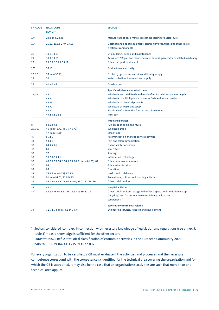| <b>EA-CODE</b> | <b>NACE-CODE</b><br><b>REV. 2**</b>                | <b>SECTOR</b>                                                                                          |  |
|----------------|----------------------------------------------------|--------------------------------------------------------------------------------------------------------|--|
| $17*$          | 24.x (min 24.46)                                   | Manufacture of basic metals (except processing of nuclear fuel)                                        |  |
| $19*$          | 26.11, 26.12, 27.9, 33.13                          | Electrical and optical equipment: electronic valves, tubes and other (micro-)<br>electronic components |  |
| 20             | 30.1, 33.15                                        | Shipbuilding / Repair and maintenance                                                                  |  |
| 21             | 30.3, 33.16                                        | Aerospace / Repair and maintenance of air and spacecraft and related machinery                         |  |
| 22             | 29, 30.2, 30.9, 33.17                              | Other transport equipment                                                                              |  |
| $25*$          | 35.11                                              | Production of electricity                                                                              |  |
| 25, 26         | 35 (min 35.11)                                     | Electricity, gas, steam and air conditioning supply                                                    |  |
| 27             | 36                                                 | Water collection, treatment and supply                                                                 |  |
| 28             | 41, 42, 43                                         | Construction                                                                                           |  |
|                |                                                    | Specific wholesale and retail trade                                                                    |  |
| 29, 31         | 45                                                 | Wholesale and retail trade and repair of motor vehicles and motorcycles                                |  |
|                | 46.71                                              | Wholesale of solid, liquid and gaseous fuels and related products                                      |  |
|                | 46.75                                              | Wholesale of chemical products                                                                         |  |
|                | 46.77                                              | Wholesale of waste and scrap                                                                           |  |
|                | 47.30                                              | Retail sale of automotive fuel in specialised stores                                                   |  |
|                | 49, 50, 51, 52                                     | Transport                                                                                              |  |
|                |                                                    | <b>Trade and Services</b>                                                                              |  |
| 8              | 58.1, 59.2                                         | Publishing of books and music                                                                          |  |
| 29, 30,        | 46 (min 46.71, 46.75, 46.77)                       | <b>Wholesale trade</b>                                                                                 |  |
|                | 47 (min 47.30)                                     | <b>Retail trade</b>                                                                                    |  |
| 30             | 55,56                                              | Accommodation and food service activities                                                              |  |
| 31             | 53,61                                              | Post and telecommunication                                                                             |  |
| 32             | 64, 65, 66                                         | <b>Financial intermediation</b>                                                                        |  |
| 32             | 68                                                 | <b>Real estate</b>                                                                                     |  |
| 32             | 77                                                 | Renting                                                                                                |  |
| 33             | 58.2, 62, 63.1                                     | Information technology                                                                                 |  |
| 35             | 69, 70, 73, 74.2, 74.3, 78, 80, 81 (min 81.29), 82 | Other professional services                                                                            |  |
| 36             | 84                                                 | <b>Public administration</b>                                                                           |  |
| 37             | 85                                                 | Education                                                                                              |  |
| 38             | 75, 86 (min 86.1), 87, 88                          | Health and social work                                                                                 |  |
| 39             | 91 (min 91.01, 91.02), 93                          | Recreational, cultural and sporting activities                                                         |  |
| 39             | 59.1, 60, 63.9, 79, 90, 91.01, 91.02, 92, 94, 96   | Other social services                                                                                  |  |
| 38             | 86.1                                               | <b>Hospital activities</b>                                                                             |  |
| $39*$          | 37, 38 (min 38.12, 38.22, 38.3), 39, 81.29         | Other social services: sewage and refuse disposal and sanitation (except                               |  |
|                |                                                    | "recycling" and "hazardous waste containing radioactive<br>components")                                |  |
|                |                                                    | Services environmental related                                                                         |  |
| 34             | 71, 72, 74 (min 74.2 en 74.3)                      | Engineering services, research and development                                                         |  |

\* Sectors considered 'complex' in connection with necessary knowledge of legislation and regulations (see annex 5, table 1) – basic knowledge is sufficient for the other sectors

\*\* Eurostat: NACE Ref. 2 Statistical classification of economic activities in the European Community 2008, ISBN 978-92-79-04741-1 / ISSN 1977-0375

For every organization to be certified, a CB must evaluate if the activities and processes and the necessary competence correspond with the competence(s) identified for the technical area covering the organization and for which the CB is accredited. It may also be the case that an organization's activities are such that more than one technical area applies.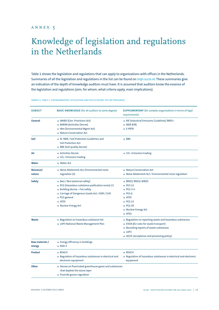## <span id="page-32-0"></span>Knowledge of legislation and regulations in the Netherlands

Table 1 shows the legislation and regulations that can apply to organizations with offices in the Netherlands. Summaries of all the legislation and regulations in the list can be found on [mijn.sccm.nl](https://mijn.sccm.nl/). These summaries give an indication of the depth of knowledge auditors must have. It is assumed that auditors know the essence of the legislation and regulations (aim, for whom, what criteria apply, main implications).

| <b>SUBJECT</b>            | <b>BASIC KNOWLEDGE</b> (for all auditors to some degree)                                                                                                                                                                                                                    | <b>SUPPLEMENTARY</b> (for complex organizations in terms of legal<br>requirements)                                                                                                                                                                   |
|---------------------------|-----------------------------------------------------------------------------------------------------------------------------------------------------------------------------------------------------------------------------------------------------------------------------|------------------------------------------------------------------------------------------------------------------------------------------------------------------------------------------------------------------------------------------------------|
| General                   | → WABO (Gen. Provisions Act)<br>→ BARIM (Activities Decree)<br>→ Wm (Environmental Mgmt Act)<br>→ Nature Conservation Act                                                                                                                                                   | $\rightarrow$ RIE (Industrial Emissions Guideline)/ BREFs<br>$\rightarrow$ MER (EIR)<br>$\rightarrow$ E-PRTR                                                                                                                                         |
| Soil                      | $\rightarrow$ N-NRB / Soil Protection Guidelines and<br><b>Soil Protection Act</b><br>$\rightarrow$ BBK (Soil quality decree)                                                                                                                                               | $\rightarrow$ BBK                                                                                                                                                                                                                                    |
| Air                       | $\rightarrow$ Activities Decree<br>$\rightarrow$ CO <sub>2</sub> - Emissions trading                                                                                                                                                                                        | $\rightarrow$ CO <sub>2</sub> - Emissions trading                                                                                                                                                                                                    |
| Water                     | $\rightarrow$ Water Act                                                                                                                                                                                                                                                     |                                                                                                                                                                                                                                                      |
| Nuisance/<br>nature       | → Noise Abatement Act / Environmental noise<br>regulation (2)                                                                                                                                                                                                               | $\rightarrow$ Nature Conservation Act<br>$\rightarrow$ Noise Abatement Act / Environmental noise regulation                                                                                                                                          |
| Safety                    | $\rightarrow$ Bevi / Revi (external safety)<br>→ PGS (Hazardous substance publication series) 15<br>$\rightarrow$ Building decree - Fire safety<br>→ Carriage of Dangerous Goods Act / ADR / GHS<br>$\rightarrow$ PGS general<br>$\rightarrow$ ATEX<br>→ Nuclear Energy Act | → BRZO/ RRZO/ WRZO<br>$\rightarrow$ PGS 12<br>$\rightarrow$ PGS 3-4<br>$\rightarrow$ PGS 6<br>$\rightarrow$ ATEX<br>$\rightarrow$ PGS 13<br>$\rightarrow$ PGS 29<br>→ Nuclear Energy Act<br>$\rightarrow$ ATEX                                       |
| <b>Waste</b>              | $\rightarrow$ Regulation on hazardous substance list<br>> LAP3 National Waste Management Plan                                                                                                                                                                               | $\rightarrow$ Regulation on reporting waste and hazardous substances<br>→ EVOA (EU rules for waste transport)<br>$\rightarrow$ Recording reports of waste substances<br>$\rightarrow$ LAP3<br>$\rightarrow$ AO/IC (acceptance and processing policy) |
| Raw materials /<br>energy | $\rightarrow$ Energy efficiency in buildings<br>$\rightarrow$ MJA-3                                                                                                                                                                                                         |                                                                                                                                                                                                                                                      |
| Product                   | $\rightarrow$ REACH<br>$\rightarrow$ Regulation of hazardous substances in electrical and<br>electronic equipment                                                                                                                                                           | $\rightarrow$ REACH<br>$\rightarrow$ Regulation of hazardous substances in electrical and electronic<br>equipment                                                                                                                                    |
| <b>Other</b>              | $\rightarrow$ Decree on fluorinated greenhouse gases and substances<br>that deplete the ozone layer<br>$\rightarrow$ Fluoride gasses regulation                                                                                                                             |                                                                                                                                                                                                                                                      |

#### Annex 5, table 1: Environmental legislation and regulations the Netherlands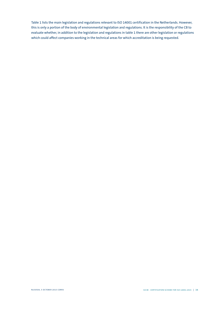Table 1 lists the main legislation and regulations relevant to ISO 14001 certification in the Netherlands. However, this is only a portion of the body of environmental legislation and regulations. It is the responsibility of the CB to evaluate whether, in addition to the legislation and regulations in table 1 there are other legislation or regulations which could affect companies working in the technical areas for which accreditation is being requested.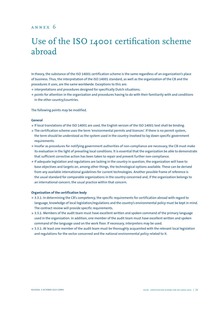## <span id="page-34-0"></span>annex 6

## Use of the ISO 14001 certification scheme abroad

In theory, the substance of the ISO 14001 certification scheme is the same regardless of an organization's place of business. Thus, the interpretation of the ISO 14001 standard, as well as the organization of the CB and the procedures it uses, are the same worldwide. Exceptions to this are:

- **<sup>&</sup>gt;** interpretations and procedures designed for specifically Dutch situations;
- **<sup>&</sup>gt;** points for attention in the organization and procedures having to do with their familiarity with and conditions in the other country/countries.

The following points may be modified.

### **General**

- **<sup>&</sup>gt;** If local translations of the ISO 14001 are used, the English version of the ISO 14001 text shall be binding.
- **<sup>&</sup>gt;** The certification scheme uses the term 'environmental permits and licences'. If there is no permit system, the term should be understood as the system used in the country involved to lay down specific government requirements.
- **<sup>&</sup>gt;** Insofar as procedures for notifying government authorities of non-compliance are necessary, the CB must make its evaluation in the light of prevailing local conditions. It is essential that the organization be able to demonstrate that sufficient corrective action has been taken to repair and prevent further non-compliance.
- **<sup>&</sup>gt;** If adequate legislation and regulations are lacking in the country in question, the organization will have to base objectives and targets on, among other things, the technological options available. These can be derived from any available international guidelines for current technologies. Another possible frame of reference is the usual standard for comparable organizations in the country concerned and, if the organization belongs to an international concern, the usual practice within that concern.

#### **Organization of the certification body**

- **<sup>&</sup>gt;** 3.3.1: In determining the CB's competency, the specific requirements for certification abroad with regard to language, knowledge of local legislation/regulations and the country's environmental policy must be kept in mind. The contract review will provide specific requirements.
- **<sup>&</sup>gt;** 3.3.1: Members of the audit team must have excellent written and spoken command of the primary language used in the organization. In addition, one member of the audit team must have excellent written and spoken command of the language used on the work floor. If necessary, interpreters may be used.
- **<sup>&</sup>gt;** 3.3.1: At least one member of the audit team must be thoroughly acquainted with the relevant local legislation and regulations for the sector concerned and the national environmental policy related to it.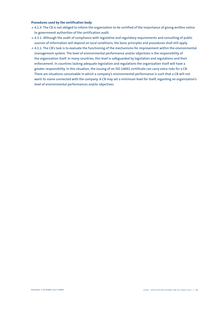### **Procedures used by the certification body**

- **<sup>&</sup>gt;** 4.1.3: The CB is not obliged to inform the organization to be certified of the importance of giving written notice to government authorities of the certification audit.
- **<sup>&</sup>gt;** 4.3.1: Although the audit of compliance with legislative and regulatory requirements and consulting of public sources of information will depend on local conditions, the basic principles and procedures shall still apply.
- **<sup>&</sup>gt;** 4.3.1: The CB's task is to evaluate the functioning of the mechanisms for improvement within the environmental management system. The level of environmental performance and/or objectives is the responsibility of the organization itself. In many countries, this level is safeguarded by legislation and regulations and their enforcement. In countries lacking adequate legislation and regulations the organization itself will have a greater responsibility. In this situation, the issuing of an ISO 14001 certificate can carry extra risks for a CB. There are situations conceivable in which a company's environmental performance is such that a CB will not want its name connected with the company. A CB may set a minimum level for itself, regarding an organization's level of environmental performances and/or objectives.